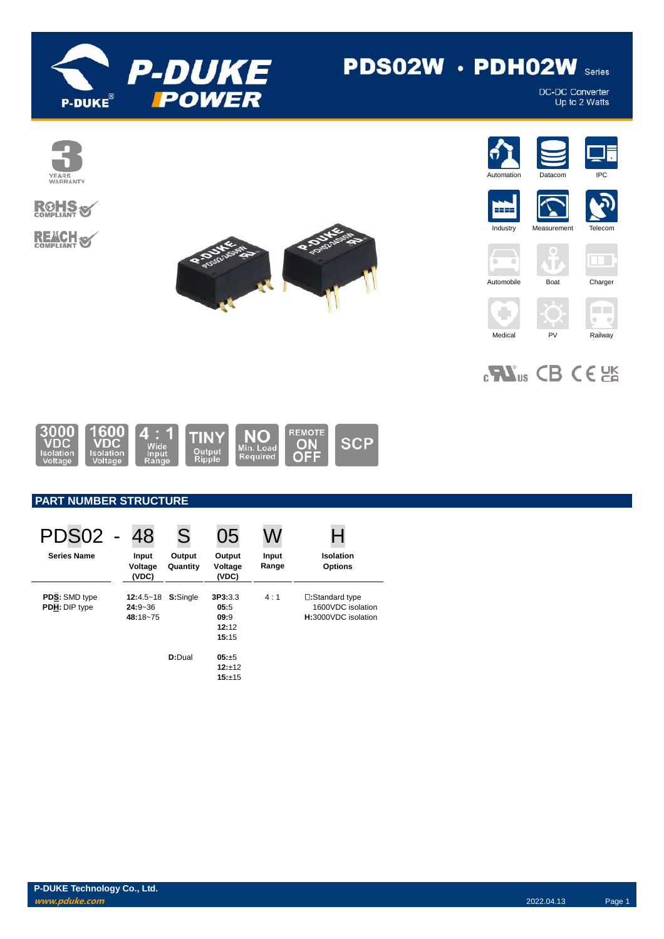

# PDS02W · PDH02W Series

DC-DC Converter<br>Up to 2 Watts



















 $\Box$ 

 $\theta=0$ 



# $_{c}$ Vas CB CE



# **PART NUMBER STRUCTURE**

| <b>PDS02 -</b>                        | 48                                       | S                  | 05                                        |                |                                                             |
|---------------------------------------|------------------------------------------|--------------------|-------------------------------------------|----------------|-------------------------------------------------------------|
| <b>Series Name</b>                    | Input<br>Voltage<br>(VDC)                | Output<br>Quantity | Output<br>Voltage<br>(VDC)                | Input<br>Range | <b>Isolation</b><br><b>Options</b>                          |
| <b>PDS:</b> SMD type<br>PDH: DIP type | $12:4.5 - 18$<br>$24:9 - 36$<br>48:18~75 | S:Single           | 3P3:3.3<br>05:5<br>09:9<br>12:12<br>15:15 | 4:1            | □:Standard type<br>1600VDC isolation<br>H:3000VDC isolation |
|                                       |                                          | D:Dual             | $05: +5$<br>$12:+12$<br>15:±15            |                |                                                             |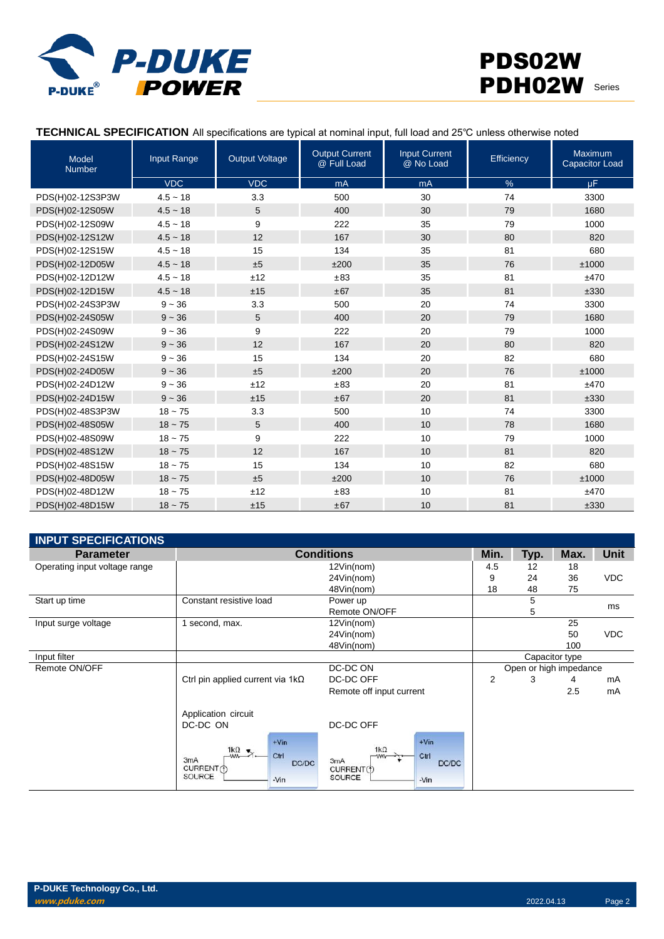

#### **TECHNICAL SPECIFICATION** All specifications are typical at nominal input, full load and 25℃ unless otherwise noted

| <b>Model</b><br><b>Number</b> | Input Range | <b>Output Voltage</b> | <b>Output Current</b><br>@ Full Load | <b>Input Current</b><br>@ No Load | Efficiency    | <b>Maximum</b><br><b>Capacitor Load</b> |
|-------------------------------|-------------|-----------------------|--------------------------------------|-----------------------------------|---------------|-----------------------------------------|
|                               | <b>VDC</b>  | <b>VDC</b>            | mA                                   | mA                                | $\frac{9}{6}$ | $\mu$ F                                 |
| PDS(H)02-12S3P3W              | $4.5 - 18$  | 3.3                   | 500                                  | 30                                | 74            | 3300                                    |
| PDS(H)02-12S05W               | $4.5 - 18$  | 5                     | 400                                  | 30                                | 79            | 1680                                    |
| PDS(H)02-12S09W               | $4.5 - 18$  | 9                     | 222                                  | 35                                | 79            | 1000                                    |
| PDS(H)02-12S12W               | $4.5 - 18$  | 12                    | 167                                  | 30                                | 80            | 820                                     |
| PDS(H)02-12S15W               | $4.5 - 18$  | 15                    | 134                                  | 35                                | 81            | 680                                     |
| PDS(H)02-12D05W               | $4.5 - 18$  | ±5                    | ±200                                 | 35                                | 76            | ±1000                                   |
| PDS(H)02-12D12W               | $4.5 - 18$  | ±12                   | ±83                                  | 35                                | 81            | ±470                                    |
| PDS(H)02-12D15W               | $4.5 - 18$  | ±15                   | ±67                                  | 35                                | 81            | ±330                                    |
| PDS(H)02-24S3P3W              | $9 - 36$    | 3.3                   | 500                                  | 20                                | 74            | 3300                                    |
| PDS(H)02-24S05W               | $9 - 36$    | 5                     | 400                                  | 20                                | 79            | 1680                                    |
| PDS(H)02-24S09W               | $9 - 36$    | 9                     | 222                                  | 20                                | 79            | 1000                                    |
| PDS(H)02-24S12W               | $9 - 36$    | 12                    | 167                                  | 20                                | 80            | 820                                     |
| PDS(H)02-24S15W               | $9 - 36$    | 15                    | 134                                  | 20                                | 82            | 680                                     |
| PDS(H)02-24D05W               | $9 - 36$    | ±5                    | ±200                                 | 20                                | 76            | ±1000                                   |
| PDS(H)02-24D12W               | $9 - 36$    | ±12                   | ±83                                  | 20                                | 81            | ±470                                    |
| PDS(H)02-24D15W               | $9 - 36$    | ±15                   | ±67                                  | 20                                | 81            | ±330                                    |
| PDS(H)02-48S3P3W              | $18 - 75$   | 3.3                   | 500                                  | 10                                | 74            | 3300                                    |
| PDS(H)02-48S05W               | $18 - 75$   | 5                     | 400                                  | 10                                | 78            | 1680                                    |
| PDS(H)02-48S09W               | $18 - 75$   | 9                     | 222                                  | 10                                | 79            | 1000                                    |
| PDS(H)02-48S12W               | $18 - 75$   | 12                    | 167                                  | 10                                | 81            | 820                                     |
| PDS(H)02-48S15W               | $18 - 75$   | 15                    | 134                                  | 10                                | 82            | 680                                     |
| PDS(H)02-48D05W               | $18 - 75$   | ±5                    | ±200                                 | 10                                | 76            | ±1000                                   |
| PDS(H)02-48D12W               | $18 - 75$   | ±12                   | ±83                                  | 10                                | 81            | ±470                                    |
| PDS(H)02-48D15W               | $18 - 75$   | ±15                   | ±67                                  | 10                                | 81            | ±330                                    |

| <b>INPUT SPECIFICATIONS</b>   |                                                                              |                                                   |                        |                |      |             |
|-------------------------------|------------------------------------------------------------------------------|---------------------------------------------------|------------------------|----------------|------|-------------|
| <b>Parameter</b>              |                                                                              | <b>Conditions</b>                                 | Min.                   | Typ.           | Max. | <b>Unit</b> |
| Operating input voltage range |                                                                              | 12Vin(nom)                                        | 4.5                    | 12             | 18   |             |
|                               |                                                                              | 24Vin(nom)                                        | 9                      | 24             | 36   | <b>VDC</b>  |
|                               |                                                                              | 48Vin(nom)                                        | 18                     | 48             | 75   |             |
| Start up time                 | Constant resistive load                                                      | Power up                                          |                        | 5              |      | ms          |
|                               |                                                                              | Remote ON/OFF                                     |                        | 5              |      |             |
| Input surge voltage           | 1 second, max.                                                               | 12Vin(nom)                                        |                        |                | 25   |             |
|                               |                                                                              | 24Vin(nom)                                        |                        |                | 50   | <b>VDC</b>  |
|                               |                                                                              | 48Vin(nom)                                        |                        |                | 100  |             |
| Input filter                  |                                                                              |                                                   |                        | Capacitor type |      |             |
| Remote ON/OFF                 |                                                                              | DC-DC ON                                          | Open or high impedance |                |      |             |
|                               | Ctrl pin applied current via $1k\Omega$                                      | DC-DC OFF                                         | $\overline{2}$         | 3              | 4    | mA          |
|                               |                                                                              | Remote off input current                          |                        |                | 2.5  | mA          |
|                               | Application circuit<br>DC-DC ON<br>$+V$ in<br>$\frac{1k\Omega}{2}$ .<br>Ctrl | DC-DC OFF<br>$+V$ in<br>$1k\Omega$<br>Ctrl<br>-ww |                        |                |      |             |
|                               | 3 <sub>m</sub> A<br>DC/DC<br>CURRENT(f)<br>SOURCE<br>$-Vin$                  | 3mA<br>DC/DC<br>CURRENT(1)<br>SOURCE<br>$-Vin$    |                        |                |      |             |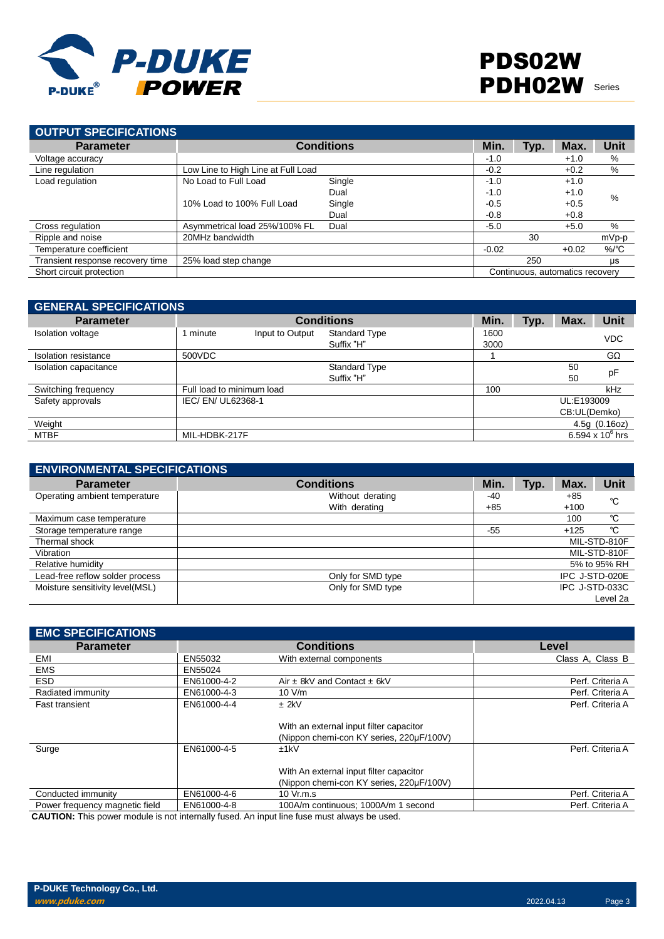

| <b>OUTPUT SPECIFICATIONS</b>     |                                    |                   |         |      |                                 |                  |
|----------------------------------|------------------------------------|-------------------|---------|------|---------------------------------|------------------|
| <b>Parameter</b>                 |                                    | <b>Conditions</b> | Min.    | Typ. | Max.                            | <b>Unit</b>      |
| Voltage accuracy                 |                                    |                   | $-1.0$  |      | $+1.0$                          | %                |
| Line regulation                  | Low Line to High Line at Full Load |                   | $-0.2$  |      | $+0.2$                          | %                |
| Load regulation                  | No Load to Full Load               | Single            | $-1.0$  |      | $+1.0$                          |                  |
|                                  |                                    | Dual              | $-1.0$  |      | $+1.0$                          | $\%$             |
|                                  | 10% Load to 100% Full Load         | Single            | $-0.5$  |      | $+0.5$                          |                  |
|                                  |                                    | Dual              | $-0.8$  |      | $+0.8$                          |                  |
| Cross regulation                 | Asymmetrical load 25%/100% FL      | Dual              | $-5.0$  |      | $+5.0$                          | %                |
| Ripple and noise                 | 20MHz bandwidth                    |                   |         | 30   |                                 | mVp-p            |
| Temperature coefficient          |                                    |                   | $-0.02$ |      | $+0.02$                         | $%$ $^{\circ}$ C |
| Transient response recovery time | 25% load step change               |                   |         | 250  |                                 | μs               |
| Short circuit protection         |                                    |                   |         |      | Continuous, automatics recovery |                  |

| <b>GENERAL SPECIFICATIONS</b> |                           |                 |                      |      |      |              |                    |
|-------------------------------|---------------------------|-----------------|----------------------|------|------|--------------|--------------------|
| <b>Parameter</b>              |                           |                 | <b>Conditions</b>    | Min. | Typ. | Max.         | <b>Unit</b>        |
| <b>Isolation voltage</b>      | 1 minute                  | Input to Output | <b>Standard Type</b> | 1600 |      |              | <b>VDC</b>         |
|                               |                           |                 | Suffix "H"           | 3000 |      |              |                    |
| Isolation resistance          | 500VDC                    |                 |                      |      |      |              | $G\Omega$          |
| Isolation capacitance         |                           |                 | <b>Standard Type</b> |      |      | 50           | pF                 |
|                               |                           |                 | Suffix "H"           |      |      | 50           |                    |
| Switching frequency           | Full load to minimum load |                 |                      | 100  |      |              | kHz                |
| Safety approvals              | IEC/ EN/ UL62368-1        |                 |                      |      |      | UL:E193009   |                    |
|                               |                           |                 |                      |      |      | CB:UL(Demko) |                    |
| Weight                        |                           |                 |                      |      |      |              | 4.5g(0.16oz)       |
| MTBF                          | MIL-HDBK-217F             |                 |                      |      |      |              | 6.594 x $10^6$ hrs |

| <b>ENVIRONMENTAL SPECIFICATIONS</b> |                                   |            |      |                 |                |
|-------------------------------------|-----------------------------------|------------|------|-----------------|----------------|
| <b>Parameter</b>                    | <b>Conditions</b>                 | Min.       | Typ. | Max.            | Unit           |
| Operating ambient temperature       | Without derating<br>With derating | -40<br>+85 |      | $+85$<br>$+100$ | °C             |
| Maximum case temperature            |                                   |            |      | 100             | °C             |
| Storage temperature range           |                                   | $-55$      |      | $+125$          | °C             |
| Thermal shock                       |                                   |            |      |                 | MIL-STD-810F   |
| Vibration                           |                                   |            |      |                 | MIL-STD-810F   |
| Relative humidity                   |                                   |            |      |                 | 5% to 95% RH   |
| Lead-free reflow solder process     | Only for SMD type                 |            |      |                 | IPC J-STD-020E |
| Moisture sensitivity level(MSL)     | Only for SMD type                 |            |      |                 | IPC J-STD-033C |
|                                     |                                   |            |      |                 | Level 2a       |

| <b>EMC SPECIFICATIONS</b>      |             |                                                                                     |                  |
|--------------------------------|-------------|-------------------------------------------------------------------------------------|------------------|
| <b>Parameter</b>               |             | <b>Conditions</b>                                                                   | Level            |
| EMI                            | EN55032     | With external components                                                            | Class A, Class B |
| <b>EMS</b>                     | EN55024     |                                                                                     |                  |
| <b>ESD</b>                     | EN61000-4-2 | Air $\pm$ 8kV and Contact $\pm$ 6kV                                                 | Perf. Criteria A |
| Radiated immunity              | EN61000-4-3 | 10 V/m                                                                              | Perf. Criteria A |
| Fast transient                 | EN61000-4-4 | $±$ 2kV                                                                             | Perf. Criteria A |
|                                |             | With an external input filter capacitor<br>(Nippon chemi-con KY series, 220µF/100V) |                  |
| Surge                          | EN61000-4-5 | ±1kV                                                                                | Perf. Criteria A |
|                                |             | With An external input filter capacitor<br>(Nippon chemi-con KY series, 220µF/100V) |                  |
| Conducted immunity             | EN61000-4-6 | 10 Vr.m.s                                                                           | Perf. Criteria A |
| Power frequency magnetic field | EN61000-4-8 | 100A/m continuous; 1000A/m 1 second                                                 | Perf. Criteria A |
|                                |             |                                                                                     |                  |

**CAUTION:** This power module is not internally fused. An input line fuse must always be used.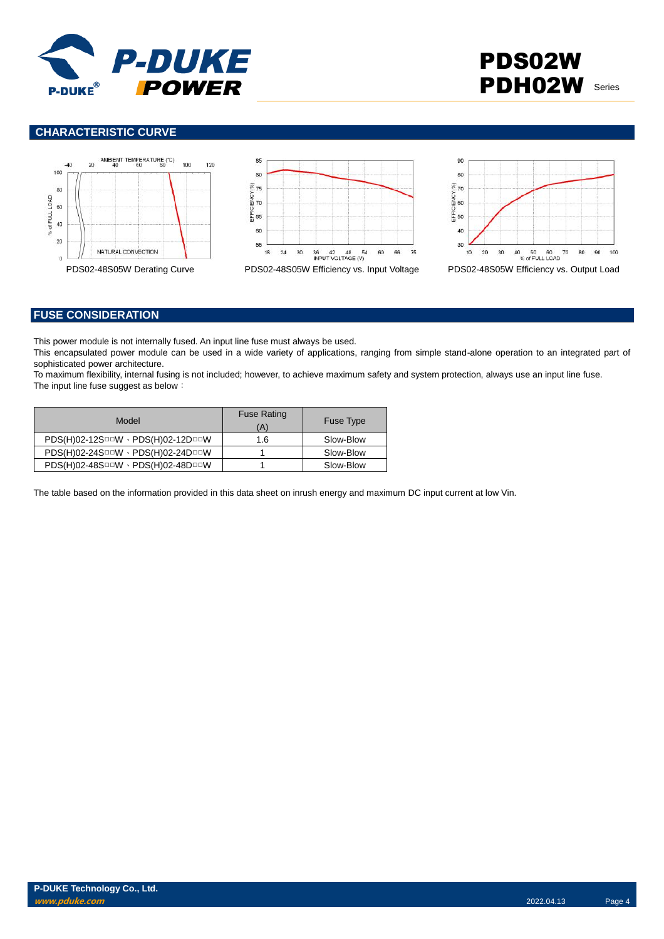

# PDS02W PDH02W Series

### **CHARACTERISTIC CURVE**







## **FUSE CONSIDERATION**

This power module is not internally fused. An input line fuse must always be used.

This encapsulated power module can be used in a wide variety of applications, ranging from simple stand-alone operation to an integrated part of sophisticated power architecture.

To maximum flexibility, internal fusing is not included; however, to achieve maximum safety and system protection, always use an input line fuse. The input line fuse suggest as below:

| Model                             | <b>Fuse Rating</b><br>(A) | <b>Fuse Type</b> |
|-----------------------------------|---------------------------|------------------|
| PDS(H)02-12SOOW · PDS(H)02-12DOOW | 1.6                       | Slow-Blow        |
| PDS(H)02-24SOOW · PDS(H)02-24DOOW |                           | Slow-Blow        |
| PDS(H)02-48SOOW · PDS(H)02-48DOOW |                           | Slow-Blow        |

The table based on the information provided in this data sheet on inrush energy and maximum DC input current at low Vin.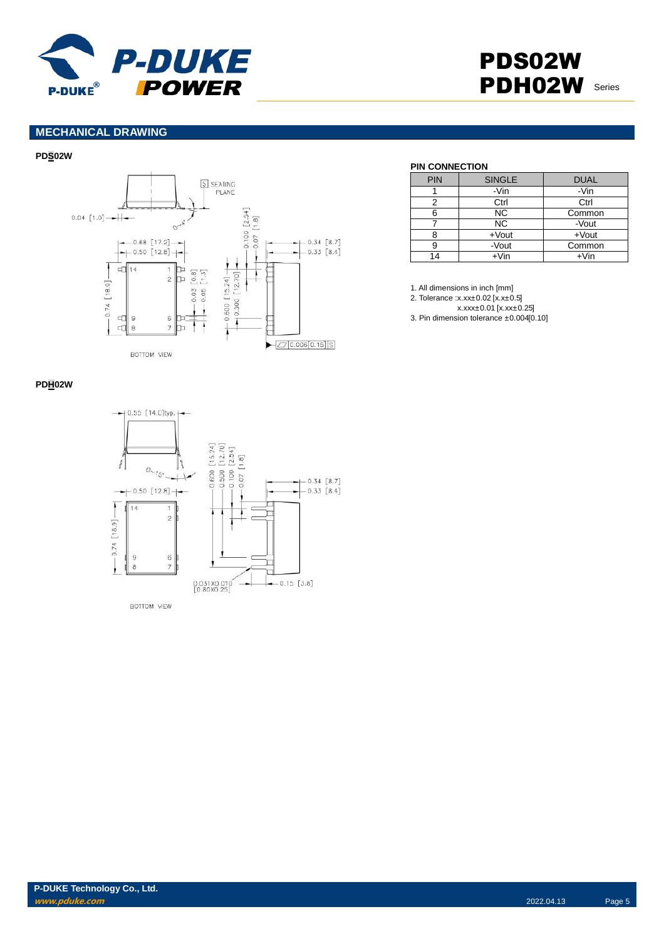

# PDS02W PDH02W Series

# **MECHANICAL DRAWING**

#### **PDS02W**



#### **PIN CONNECTION**

| <b>PIN</b> | <b>SINGLE</b> | <b>DUAL</b> |
|------------|---------------|-------------|
|            | -Vin          | -Vin        |
|            | Ctrl          | Ctrl        |
| հ          | <b>NC</b>     | Common      |
|            | <b>NC</b>     | -Vout       |
|            | $+$ Vout      | $+$ Vout    |
|            | -Vout         | Common      |
| 14         | +Vin          | $+V$ in     |

1. All dimensions in inch [mm]

2. Tolerance :x.xx±0.02 [x.x±0.5]

x.xxx±0.01 [x.xx±0.25]

3. Pin dimension tolerance ±0.004[0.10]

#### **PDH02W**



**P-DUKE Technology Co., Ltd. www.pduke.com** 2022.04.13 Page 5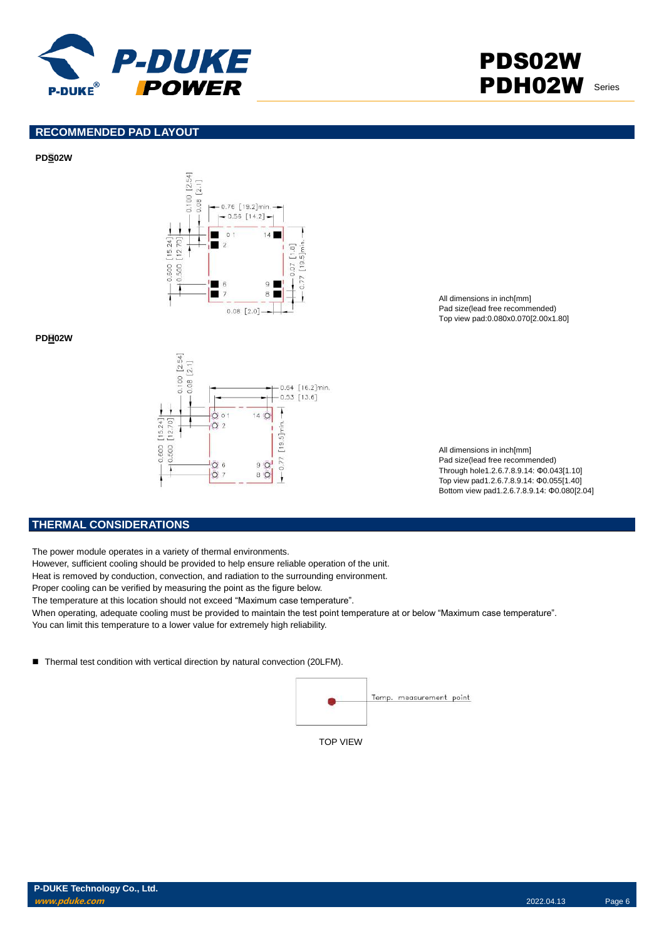

# PDS02W PDH02W Series

### **RECOMMENDED PAD LAYOUT**

#### **PDS02W**



**PDH02W**



All dimensions in inch[mm] Pad size(lead free recommended) Top view pad:0.080x0.070[2.00x1.80]

All dimensions in inch[mm] Pad size(lead free recommended) Through hole1.2.6.7.8.9.14: Φ0.043[1.10] Top view pad1.2.6.7.8.9.14: Φ0.055[1.40] Bottom view pad1.2.6.7.8.9.14: Φ0.080[2.04]

#### **THERMAL CONSIDERATIONS**

The power module operates in a variety of thermal environments.

However, sufficient cooling should be provided to help ensure reliable operation of the unit.

Heat is removed by conduction, convection, and radiation to the surrounding environment.

Proper cooling can be verified by measuring the point as the figure below.

The temperature at this location should not exceed "Maximum case temperature".

When operating, adequate cooling must be provided to maintain the test point temperature at or below "Maximum case temperature". You can limit this temperature to a lower value for extremely high reliability.

■ Thermal test condition with vertical direction by natural convection (20LFM).